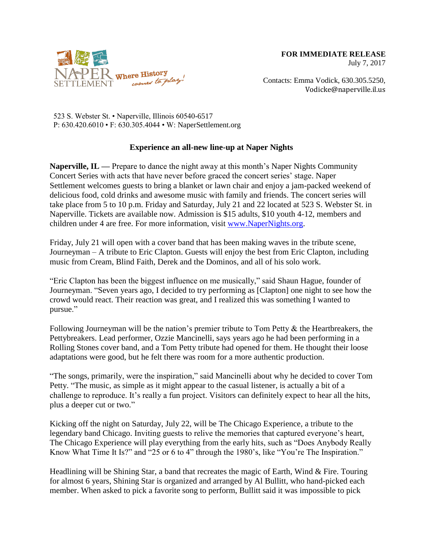

Contacts: Emma Vodick, 630.305.5250, Vodicke@naperville.il.us

523 S. Webster St. • Naperville, Illinois 60540-6517 P: 630.420.6010 • F: 630.305.4044 • W: NaperSettlement.org

## **Experience an all-new line-up at Naper Nights**

**Naperville, IL —** Prepare to dance the night away at this month's Naper Nights Community Concert Series with acts that have never before graced the concert series' stage. Naper Settlement welcomes guests to bring a blanket or lawn chair and enjoy a jam-packed weekend of delicious food, cold drinks and awesome music with family and friends. The concert series will take place from 5 to 10 p.m. Friday and Saturday, July 21 and 22 located at 523 S. Webster St. in Naperville. Tickets are available now. Admission is \$15 adults, \$10 youth 4-12, members and children under 4 are free. For more information, visit [www.NaperNights.org.](http://www.napernights.org/)

Friday, July 21 will open with a cover band that has been making waves in the tribute scene, Journeyman – A tribute to Eric Clapton. Guests will enjoy the best from Eric Clapton, including music from Cream, Blind Faith, Derek and the Dominos, and all of his solo work.

"Eric Clapton has been the biggest influence on me musically," said Shaun Hague, founder of Journeyman. "Seven years ago, I decided to try performing as [Clapton] one night to see how the crowd would react. Their reaction was great, and I realized this was something I wanted to pursue."

Following Journeyman will be the nation's premier tribute to Tom Petty  $\&$  the Heartbreakers, the Pettybreakers. Lead performer, Ozzie Mancinelli, says years ago he had been performing in a Rolling Stones cover band, and a Tom Petty tribute had opened for them. He thought their loose adaptations were good, but he felt there was room for a more authentic production.

"The songs, primarily, were the inspiration," said Mancinelli about why he decided to cover Tom Petty. "The music, as simple as it might appear to the casual listener, is actually a bit of a challenge to reproduce. It's really a fun project. Visitors can definitely expect to hear all the hits, plus a deeper cut or two."

Kicking off the night on Saturday, July 22, will be The Chicago Experience, a tribute to the legendary band Chicago. Inviting guests to relive the memories that captured everyone's heart, The Chicago Experience will play everything from the early hits, such as "Does Anybody Really Know What Time It Is?" and "25 or 6 to 4" through the 1980's, like "You're The Inspiration."

Headlining will be Shining Star, a band that recreates the magic of Earth, Wind & Fire. Touring for almost 6 years, Shining Star is organized and arranged by Al Bullitt, who hand-picked each member. When asked to pick a favorite song to perform, Bullitt said it was impossible to pick